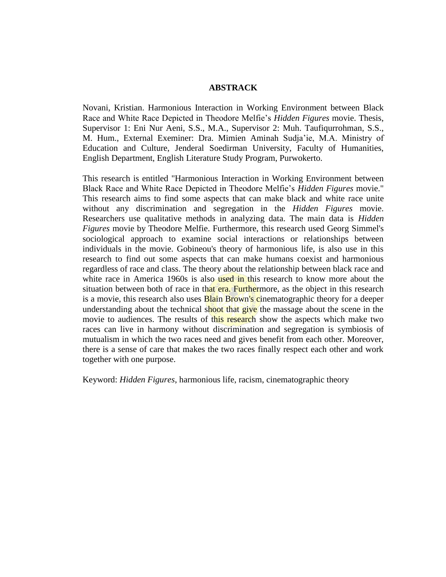## **ABSTRACK**

Novani, Kristian. Harmonious Interaction in Working Environment between Black Race and White Race Depicted in Theodore Melfie's *Hidden Figures* movie. Thesis, Supervisor 1: Eni Nur Aeni, S.S., M.A., Supervisor 2: Muh. Taufiqurrohman, S.S., M. Hum., External Exeminer: Dra. Mimien Aminah Sudja'ie, M.A. Ministry of Education and Culture, Jenderal Soedirman University, Faculty of Humanities, English Department, English Literature Study Program, Purwokerto.

This research is entitled "Harmonious Interaction in Working Environment between Black Race and White Race Depicted in Theodore Melfie's *Hidden Figures* movie." This research aims to find some aspects that can make black and white race unite without any discrimination and segregation in the *Hidden Figures* movie. Researchers use qualitative methods in analyzing data. The main data is *Hidden Figures* movie by Theodore Melfie. Furthermore, this research used Georg Simmel's sociological approach to examine social interactions or relationships between individuals in the movie. Gobineou's theory of harmonious life, is also use in this research to find out some aspects that can make humans coexist and harmonious regardless of race and class. The theory about the relationship between black race and white race in America 1960s is also used in this research to know more about the situation between both of race in that era. Furthermore, as the object in this research is a movie, this research also uses **Blain Brown's c**inematographic theory for a deeper understanding about the technical shoot that give the massage about the scene in the movie to audiences. The results of this research show the aspects which make two races can live in harmony without discrimination and segregation is symbiosis of mutualism in which the two races need and gives benefit from each other. Moreover, there is a sense of care that makes the two races finally respect each other and work together with one purpose.

Keyword: *Hidden Figures*, harmonious life, racism, cinematographic theory